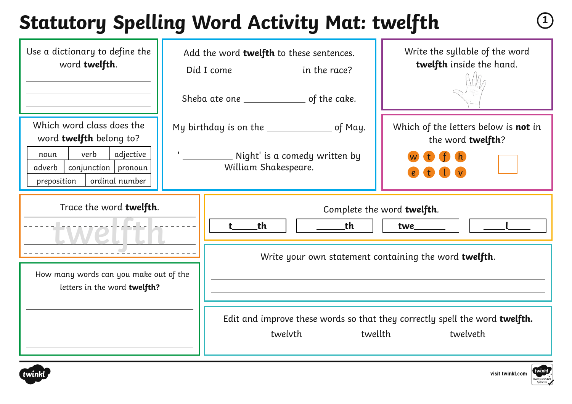# **Statutory Spelling Word Activity Mat: twelfth <sup>1</sup>**

| Use a dictionary to define the<br>word twelfth.                                                                                                       | Add the word twelfth to these sentences.<br>Did I come _________________ in the race?                    | Write the syllable of the word<br>twelfth inside the hand.                                                                                                                                                          |
|-------------------------------------------------------------------------------------------------------------------------------------------------------|----------------------------------------------------------------------------------------------------------|---------------------------------------------------------------------------------------------------------------------------------------------------------------------------------------------------------------------|
|                                                                                                                                                       | Sheba ate one __________________ of the cake.                                                            |                                                                                                                                                                                                                     |
| Which word class does the<br>word twelfth belong to?<br>verb<br>adjective<br>noun<br>conjunction   pronoun<br>adverb<br>ordinal number<br>preposition | My birthday is on the _________________ of May.<br>Night' is a comedy written by<br>William Shakespeare. | Which of the letters below is not in<br>the word twelfth?                                                                                                                                                           |
| Trace the word twelfth.<br>How many words can you make out of the<br>letters in the word twelfth?                                                     | _th<br><u>the the set</u><br>$t$ and $t$<br>twelvth                                                      | Complete the word twelfth.<br>twe <sub>_______</sub><br>Write your own statement containing the word twelfth.<br>Edit and improve these words so that they correctly spell the word twelfth.<br>twellth<br>twelveth |



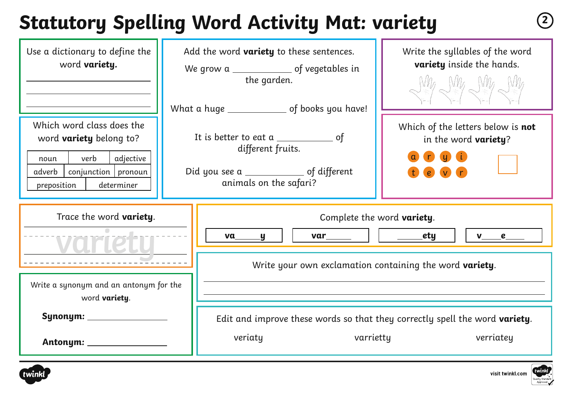# **Statutory Spelling Word Activity Mat: variety <sup>2</sup>**

| Use a dictionary to define the<br>word <b>variety</b> .                                                                                                    |                                                                                                                                               | Add the word <b>variety</b> to these sentences.<br>the garden.<br>What a huge ________________ of books you have! | Write the syllables of the word<br>variety inside the hands.<br>$M_4$ $M_4$ $M_4$ |
|------------------------------------------------------------------------------------------------------------------------------------------------------------|-----------------------------------------------------------------------------------------------------------------------------------------------|-------------------------------------------------------------------------------------------------------------------|-----------------------------------------------------------------------------------|
| Which word class does the<br>word <b>variety</b> belong to?<br>verb<br>adjective<br>noun<br>conjunction   pronoun<br>adverb  <br>determiner<br>preposition | It is better to eat a $\_\_\_\_\_\_\_\_\_\_$ of<br>different fruits.<br>Did you see a ________________ of different<br>animals on the safari? |                                                                                                                   | Which of the letters below is not<br>in the word variety?<br>$\left(e\right)$ (v) |
| Trace the word variety.<br>Write a synonym and an antonym for the<br>word <b>variety</b> .                                                                 |                                                                                                                                               | Complete the word variety.<br>_ety<br>$var$ $\Box$<br>$v$ e<br>va<br><u>y</u>                                     |                                                                                   |
|                                                                                                                                                            |                                                                                                                                               | Write your own exclamation containing the word variety.                                                           |                                                                                   |
| Synonym: ____________<br>Antonym: ___________                                                                                                              |                                                                                                                                               | Edit and improve these words so that they correctly spell the word variety.<br>veriaty<br>varrietty               | verriatey                                                                         |



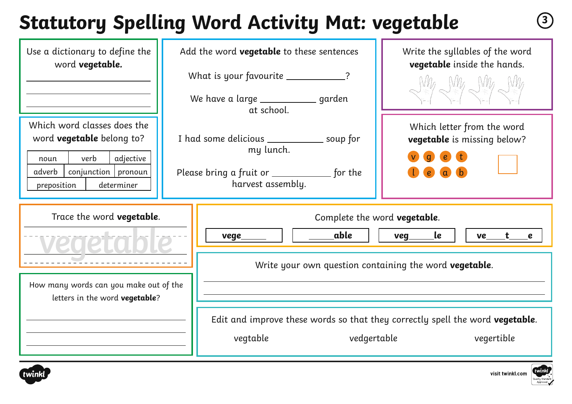## **Statutory Spelling Word Activity Mat: vegetable <sup>3</sup>**

| Use a dictionary to define the<br>word vegetable.                                                                                                              | Add the word <b>vegetable</b> to these sentences<br>What is your favourite ___________?<br>We have a large _____________ garden<br>at school. | Write the syllables of the word<br>vegetable inside the hands.<br>$W\!A$ g $W\!A$ g $W\!A$ |
|----------------------------------------------------------------------------------------------------------------------------------------------------------------|-----------------------------------------------------------------------------------------------------------------------------------------------|--------------------------------------------------------------------------------------------|
| Which word classes does the<br>word <b>vegetable</b> belong to?<br>verb<br>adjective<br>noun<br>$conjunction$   pronoun<br>adverb<br>determiner<br>preposition | I had some delicious _______________ soup for<br>my lunch.<br>Please bring a fruit or _______________ for the<br>harvest assembly.            | Which letter from the word<br>vegetable is missing below?<br>$\epsilon$                    |
| Trace the word vegetable.                                                                                                                                      | Complete the word vegetable.<br>able<br>vege<br>Write your own question containing the word vegetable.                                        | <u>le</u><br>veg<br>ve<br>$\epsilon$                                                       |
| How many words can you make out of the<br>letters in the word vegetable?                                                                                       | Edit and improve these words so that they correctly spell the word vegetable.<br>vegtable<br>vedgertable                                      | vegertible                                                                                 |



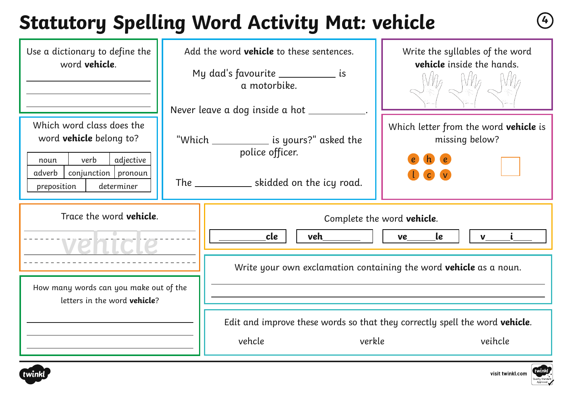## **Statutory Spelling Word Activity Mat: vehicle <sup>4</sup>**

| Use a dictionary to define the<br>word <b>vehicle</b> .                                                                                                    | Add the word <b>vehicle</b> to these sentences.<br>My dad's favourite _____________ is<br>a motorbike.<br>Never leave a dog inside a hot ____ |                                                                                                               | Write the syllables of the word<br>vehicle inside the hands.                                                                            |
|------------------------------------------------------------------------------------------------------------------------------------------------------------|-----------------------------------------------------------------------------------------------------------------------------------------------|---------------------------------------------------------------------------------------------------------------|-----------------------------------------------------------------------------------------------------------------------------------------|
| Which word class does the<br>word <b>vehicle</b> belong to?<br>verb<br>adjective<br>noun<br>adverb<br>$conjunction$   pronoun<br>preposition<br>determiner |                                                                                                                                               | "Which ______________ is yours?" asked the<br>police officer.<br>The _______________ skidded on the icy road. | Which letter from the word vehicle is<br>missing below?                                                                                 |
| Trace the word <b>vehicle</b> .                                                                                                                            |                                                                                                                                               | cle<br>veh                                                                                                    | Complete the word vehicle.<br><b>le</b><br>ve<br><u>v i</u><br>Write your own exclamation containing the word <b>vehicle</b> as a noun. |
| How many words can you make out of the<br>letters in the word <b>vehicle</b> ?                                                                             |                                                                                                                                               | vehcle                                                                                                        | Edit and improve these words so that they correctly spell the word <b>vehicle</b> .<br>verkle<br>veihcle                                |